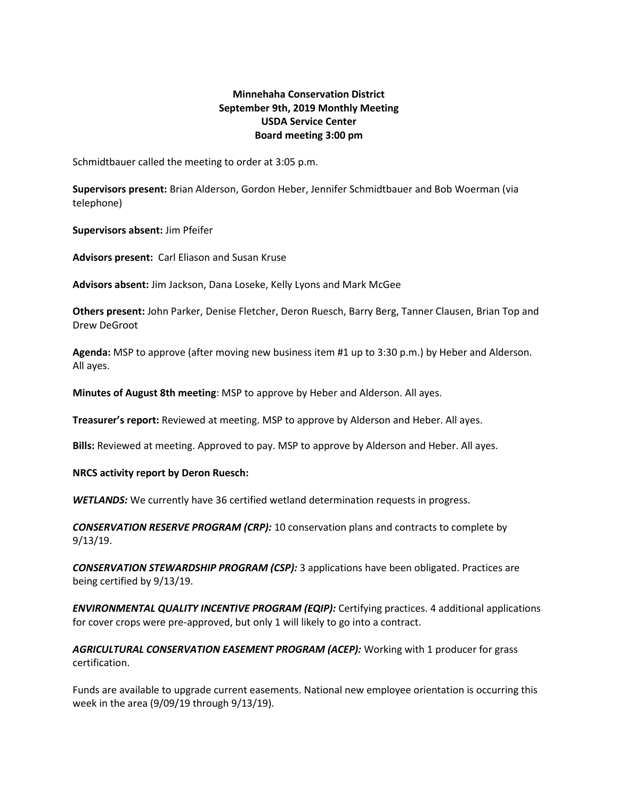## **Minnehaha Conservation District September 9th, 2019 Monthly Meeting USDA Service Center Board meeting 3:00 pm**

Schmidtbauer called the meeting to order at 3:05 p.m.

**Supervisors present:** Brian Alderson, Gordon Heber, Jennifer Schmidtbauer and Bob Woerman (via telephone)

**Supervisors absent:** Jim Pfeifer

**Advisors present:** Carl Eliason and Susan Kruse

**Advisors absent:** Jim Jackson, Dana Loseke, Kelly Lyons and Mark McGee

**Others present:** John Parker, Denise Fletcher, Deron Ruesch, Barry Berg, Tanner Clausen, Brian Top and Drew DeGroot

**Agenda:** MSP to approve (after moving new business item #1 up to 3:30 p.m.) by Heber and Alderson. All ayes.

**Minutes of August 8th meeting**: MSP to approve by Heber and Alderson. All ayes.

**Treasurer's report:** Reviewed at meeting. MSP to approve by Alderson and Heber. All ayes.

**Bills:** Reviewed at meeting. Approved to pay. MSP to approve by Alderson and Heber. All ayes.

**NRCS activity report by Deron Ruesch:**

*WETLANDS:* We currently have 36 certified wetland determination requests in progress.

*CONSERVATION RESERVE PROGRAM (CRP):* 10 conservation plans and contracts to complete by 9/13/19.

*CONSERVATION STEWARDSHIP PROGRAM (CSP):* 3 applications have been obligated. Practices are being certified by 9/13/19.

*ENVIRONMENTAL QUALITY INCENTIVE PROGRAM (EQIP):* Certifying practices. 4 additional applications for cover crops were pre-approved, but only 1 will likely to go into a contract.

*AGRICULTURAL CONSERVATION EASEMENT PROGRAM (ACEP):* Working with 1 producer for grass certification.

Funds are available to upgrade current easements. National new employee orientation is occurring this week in the area (9/09/19 through 9/13/19).